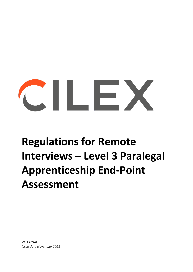# $\sim$  11  $\sim$  2

## **Regulations for Remote Interviews – Level 3 Paralegal Apprenticeship End-Point Assessment**

*V1.1 FINAL Issue date November 2021*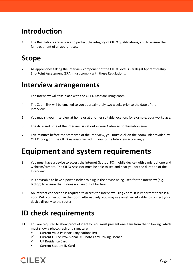#### **Introduction**

1. The Regulations are in place to protect the integrity of CILEX qualifications, and to ensure the fair treatment of all apprentices.

#### **Scope**

2. All apprentices taking the Interview component of the CILEX Level 3 Paralegal Apprenticeship End-Point Assessment (EPA) must comply with these Regulations.

#### **Interview arrangements**

- 3. The Interview will take place with the CILEX Assessor using Zoom.
- 4. The Zoom link will be emailed to you approximately two weeks prior to the date of the Interview.
- 5. You may sit your Interview at home or at another suitable location, for example, your workplace.
- 6. The date and time of the Interview is set out in your Gateway Confirmation email.
- 7. Five minutes before the start time of the Interview, you must click on the Zoom link provided by CILEX to log on. The CILEX Assessor will admit you to the Interview accordingly.

### **Equipment and system requirements**

- 8. You must have a device to access the internet (laptop, PC, mobile device) with a microphone and webcam/camera. The CILEX Assessor must be able to see and hear you for the duration of the Interview.
- 9. It is advisable to have a power socket to plug in the device being used for the Interview (e.g. laptop) to ensure that it does not run out of battery.
- 10. An internet connection is required to access the Interview using Zoom. It is important there is a good WiFi connection in the room. Alternatively, you may use an ethernet cable to connect your device directly to the router.

#### **ID check requirements**

- 11. You are required to show proof of identity. You must present one item from the following, which must show a photograph and signature:
	- $\checkmark$  Current Valid Passport (any nationality)
	- $\checkmark$  Current Full or Provisional UK Photo Card Driving Licence
	- UK Residence Card
	- Current Student ID Card

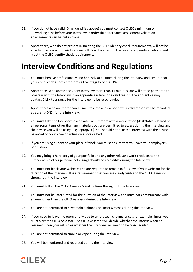- 12. If you do not have valid ID (as identified above) you must contact CILEX a minimum of 10 working days before your Interview in order that alternative assessment validation arrangements can be put in place.
- 13. Apprentices, who do not present ID meeting the CILEX identity check requirements, will not be able to progress with their Interview. CILEX will not refund the fees for apprentices who do not meet the CILEX identity check requirements.

#### **Interview Conditions and Regulations**

- 14. You must behave professionally and honestly at all times during the Interview and ensure that your conduct does not compromise the integrity of the EPA.
- 15. Apprentices who access the Zoom Interview more than 15 minutes late will not be permitted to progress with the Interview. If an apprentice is late for a valid reason, the apprentice may contact CILEX to arrange for the Interview to be re-scheduled.
- 16. Apprentices who are more than 15 minutes late and do not have a valid reason will be recorded as absent (DNS) for the Interview.
- 17. You must take the Interview in a private, well-it room with a workstation (desk/table) cleared of all personal items other than any materials you are permitted to access during the Interview and the device you will be using (e.g. laptop/PC). You should not take the Interview with the device balanced on your knee or sitting on a sofa or bed.
- 18. If you are using a room at your place of work, you must ensure that you have your employer's permission.
- 19. You may bring a hard copy of your portfolio and any other relevant work products to the Interview. No other personal belongings should be accessible during the Interview.
- 20. You must not block your webcam and are required to remain in full view of your webcam for the duration of the Interview. It is a requirement that you are clearly visible to the CILEX Assessor throughout the Interview.
- 21. You must follow the CILEX Assessor's instructions throughout the Interview.
- 22. You must not be interrupted for the duration of the Interview and must not communicate with anyone other than the CILEX Assessor during the Interview.
- 23. You are not permitted to have mobile phones or smart watches during the Interview.
- 24. If you need to leave the room briefly due to unforeseen circumstances, for example illness, you must alert the CILEX Assessor. The CILEX Assessor will decide whether the Interview can be resumed upon your return or whether the Interview will need to be re-scheduled.
- 25. You are not permitted to smoke or vape during the Interview.
- 26. You will be monitored and recorded during the Interview.

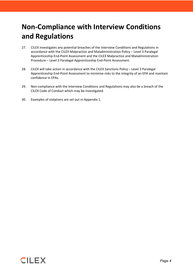#### **Non-Compliance with Interview Conditions and Regulations**

- 27. CILEX investigates any potential breaches of the Interview Conditions and Regulations in accordance with the CILEX Malpractice and Maladministration Policy – Level 3 Paralegal Apprenticeship End-Point Assessment and the CILEX Malpractice and Maladministration Procedure – Level 3 Paralegal Apprenticeship End-Point Assessment.
- 28. CILEX will take action in accordance with the CILEX Sanctions Policy Level 3 Paralegal Apprenticeship End-Point Assessment to minimise risks to the integrity of an EPA and maintain confidence in EPAs.
- 29. Non-compliance with the Interview Conditions and Regulations may also be a breach of the CILEX Code of Conduct which may be investigated.
- 30. Examples of violations are set out in Appendix 1.